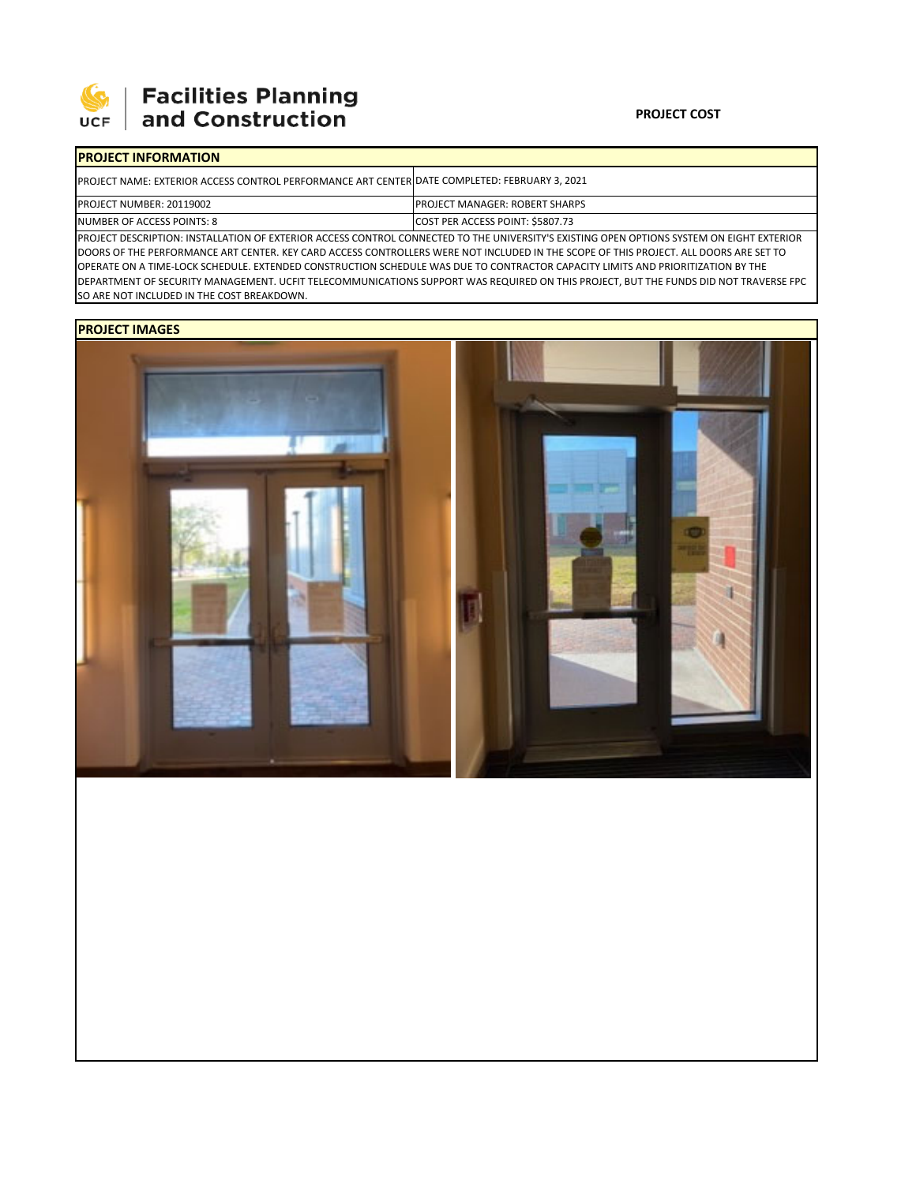

# **Facilities Planning**<br>and Construction

#### **PROJECT COST**

## **PROJECT INFORMATION**

| <b>IPROJECT NAME: EXTERIOR ACCESS CONTROL PERFORMANCE ART CENTER DATE COMPLETED: FEBRUARY 3, 2021</b> |                                          |
|-------------------------------------------------------------------------------------------------------|------------------------------------------|
| <b>PROJECT NUMBER: 20119002</b>                                                                       | <b>IPROJECT MANAGER: ROBERT SHARPS</b>   |
| NUMBER OF ACCESS POINTS: 8                                                                            | <b>ICOST PER ACCESS POINT: \$5807.73</b> |

PROJECT DESCRIPTION: INSTALLATION OF EXTERIOR ACCESS CONTROL CONNECTED TO THE UNIVERSITY'S EXISTING OPEN OPTIONS SYSTEM ON EIGHT EXTERIOR DOORS OF THE PERFORMANCE ART CENTER. KEY CARD ACCESS CONTROLLERS WERE NOT INCLUDED IN THE SCOPE OF THIS PROJECT. ALL DOORS ARE SET TO OPERATE ON A TIME‐LOCK SCHEDULE. EXTENDED CONSTRUCTION SCHEDULE WAS DUE TO CONTRACTOR CAPACITY LIMITS AND PRIORITIZATION BY THE DEPARTMENT OF SECURITY MANAGEMENT. UCFIT TELECOMMUNICATIONS SUPPORT WAS REQUIRED ON THIS PROJECT, BUT THE FUNDS DID NOT TRAVERSE FPC SO ARE NOT INCLUDED IN THE COST BREAKDOWN.

### **PROJECT IMAGES**